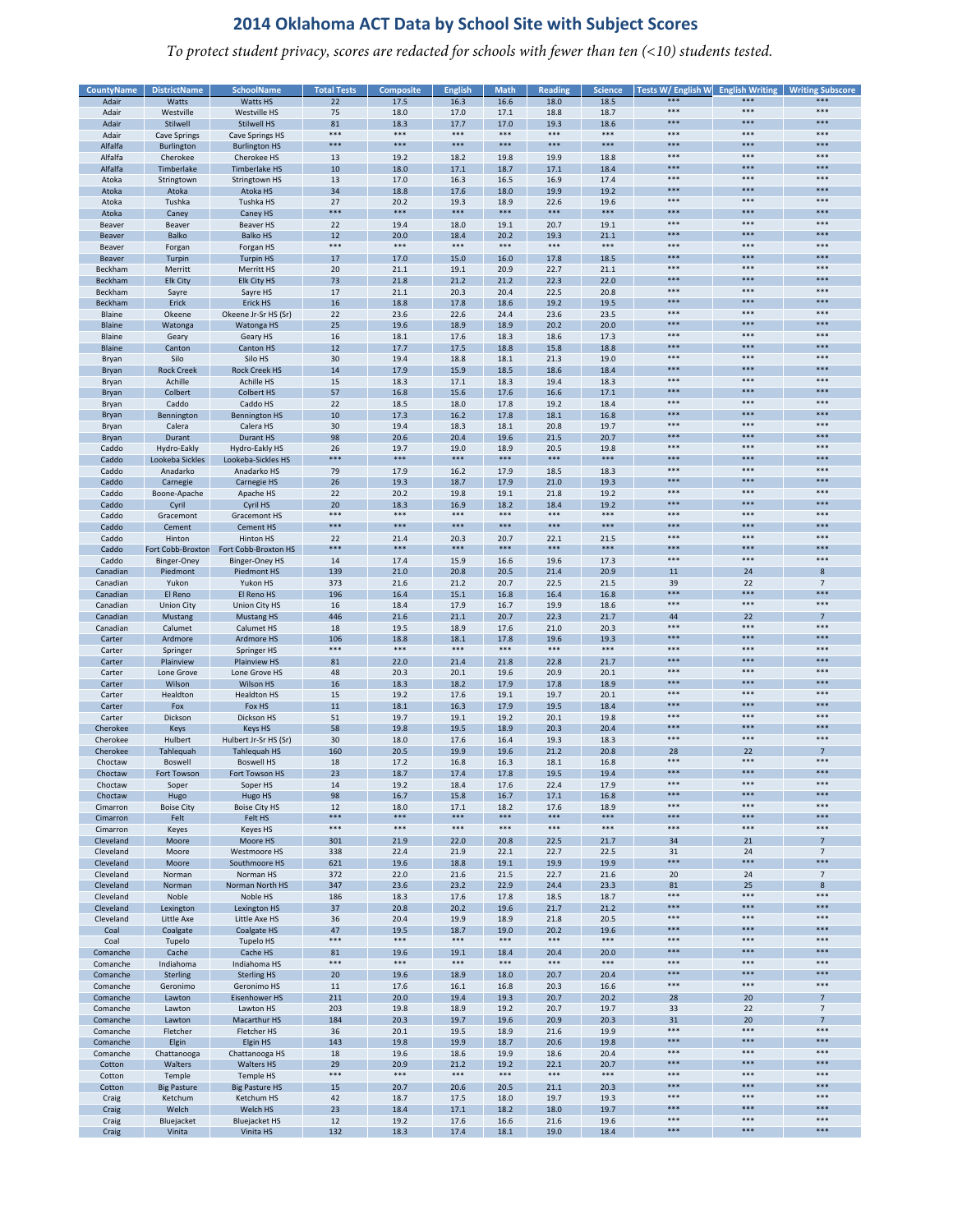*To protect student privacy, scores are redacted for schools with fewer than ten (<10) students tested.*

| <b>CountyName</b> | <b>DistrictName</b> | <b>SchoolName</b>      | <b>Total Tests</b> | Composite | <b>English</b> | <b>Math</b> | <b>Reading</b> | <b>Science</b> | Tests W/ English W<br>*** | ***   | <b>English Writing   Writing Subscore</b><br>*** |
|-------------------|---------------------|------------------------|--------------------|-----------|----------------|-------------|----------------|----------------|---------------------------|-------|--------------------------------------------------|
| Adair             | Watts               | Watts HS               | 22                 | 17.5      | 16.3           | 16.6        | 18.0           | 18.5           |                           |       |                                                  |
| Adair             | Westville           | Westville HS           | 75                 | 18.0      | 17.0           | 17.1        | 18.8           | 18.7           | $***$                     | ***   | ***                                              |
| Adair             | Stilwell            | <b>Stilwell HS</b>     | 81                 | 18.3      | 17.7           | 17.0        | 19.3           | 18.6           | $***$                     | ***   | $***$                                            |
| Adair             | <b>Cave Springs</b> | <b>Cave Springs HS</b> | $***$              | ***       | $***$          | $***$       | $***$          | $***$          | $***$                     | $***$ | $***$                                            |
| Alfalfa           | Burlington          | <b>Burlington HS</b>   | ***                | ***       | ***            | ***         | ***            | ***            | ***                       | ***   | ***                                              |
|                   |                     |                        |                    |           |                |             |                |                | $***$                     | $***$ | ***                                              |
| Alfalfa           | Cherokee            | Cherokee HS            | 13                 | 19.2      | 18.2           | 19.8        | 19.9           | 18.8           |                           |       |                                                  |
| Alfalfa           | Timberlake          | <b>Timberlake HS</b>   | 10                 | 18.0      | 17.1           | 18.7        | 17.1           | 18.4           | ***                       | ***   | ***                                              |
| Atoka             | Stringtown          | Stringtown HS          | 13                 | 17.0      | 16.3           | 16.5        | 16.9           | 17.4           | $***$                     | $***$ | $***$                                            |
| Atoka             | Atoka               | Atoka HS               | 34                 | 18.8      | 17.6           | 18.0        | 19.9           | 19.2           | $***$                     | ***   | $***$                                            |
|                   | Tushka              | Tushka HS              | 27                 | 20.2      | 19.3           | 18.9        | 22.6           | 19.6           | ***                       | ***   | ***                                              |
| Atoka             |                     |                        | ***                | ***       | $***$          | ***         | $***$          | $***$          | $***$                     | ***   | ***                                              |
| Atoka             | Caney               | Caney HS               |                    |           |                |             |                |                |                           |       |                                                  |
| Beaver            | Beaver              | <b>Beaver HS</b>       | 22                 | 19.4      | 18.0           | 19.1        | 20.7           | 19.1           | ***                       | $***$ | ***                                              |
| Beaver            | <b>Balko</b>        | <b>Balko HS</b>        | 12                 | 20.0      | 18.4           | 20.2        | 19.3           | 21.1           | $***$                     | ***   | $***$                                            |
| Beaver            | Forgan              | Forgan HS              | $***$              | ***       | $***$          | $***$       | $***$          | $***$          | $***$                     | $***$ | $***$                                            |
|                   | Turpin              | <b>Turpin HS</b>       |                    |           | 15.0           | 16.0        |                | 18.5           | ***                       | ***   | ***                                              |
| Beaver            |                     |                        | 17                 | 17.0      |                |             | 17.8           |                | $***$                     | $***$ | ***                                              |
| Beckham           | Merritt             | Merritt HS             | 20                 | 21.1      | 19.1           | 20.9        | 22.7           | 21.1           |                           |       |                                                  |
| Beckham           | <b>Elk City</b>     | Elk City HS            | 73                 | 21.8      | 21.2           | 21.2        | 22.3           | 22.0           | ***                       | ***   | ***                                              |
| Beckham           | Sayre               | Savre HS               | 17                 | 21.1      | 20.3           | 20.4        | 22.5           | 20.8           | $***$                     | $***$ | $***$                                            |
| Beckham           | Erick               | Erick HS               | 16                 | 18.8      | 17.8           | 18.6        | 19.2           | 19.5           | $***$                     | ***   | $***$                                            |
|                   |                     | Okeene Jr-Sr HS (Sr)   | 22                 | 23.6      | 22.6           | 24.4        | 23.6           | 23.5           | ***                       | ***   | ***                                              |
| Blaine            | Okeene              |                        |                    |           |                |             |                |                | $***$                     | ***   | ***                                              |
| Blaine            | Watonga             | Watonga HS             | 25                 | 19.6      | 18.9           | 18.9        | 20.2           | 20.0           |                           |       |                                                  |
| Blaine            | Geary               | Geary HS               | 16                 | 18.1      | 17.6           | 18.3        | 18.6           | 17.3           | ***                       | $***$ | ***                                              |
| <b>Blaine</b>     | Canton              | Canton HS              | 12                 | 17.7      | 17.5           | 18.8        | 15.8           | 18.8           | ***                       | ***   | ***                                              |
| Bryan             | Silo                | Silo HS                | 30                 | 19.4      | 18.8           | 18.1        | 21.3           | 19.0           | $***$                     | $***$ | $***$                                            |
|                   |                     |                        |                    |           |                |             |                |                | ***                       | ***   | ***                                              |
| Bryan             | <b>Rock Creek</b>   | <b>Rock Creek HS</b>   | 14                 | 17.9      | 15.9           | 18.5        | 18.6           | 18.4           |                           |       |                                                  |
| Bryan             | Achille             | Achille HS             | 15                 | 18.3      | 17.1           | 18.3        | 19.4           | 18.3           | ***                       | $***$ | ***                                              |
| Bryan             | Colbert             | <b>Colbert HS</b>      | 57                 | 16.8      | 15.6           | 17.6        | 16.6           | 17.1           | ***                       | ***   | ***                                              |
| Bryan             | Caddo               | Caddo HS               | 22                 | 18.5      | 18.0           | 17.8        | 19.2           | 18.4           | ***                       | ***   | ***                                              |
| Bryan             | Bennington          | <b>Bennington HS</b>   | 10                 | 17.3      | 16.2           | 17.8        | 18.1           | 16.8           | $***$                     | ***   | $***$                                            |
|                   |                     |                        |                    |           |                |             |                |                | $***$                     | ***   | ***                                              |
| Bryan             | Calera              | Calera HS              | 30                 | 19.4      | 18.3           | 18.1        | 20.8           | 19.7           |                           |       |                                                  |
| Bryan             | Durant              | Durant HS              | 98                 | 20.6      | 20.4           | 19.6        | 21.5           | 20.7           | ***                       | ***   | ***                                              |
| Caddo             | Hydro-Eakly         | Hydro-Eakly HS         | 26                 | 19.7      | 19.0           | 18.9        | 20.5           | 19.8           | ***                       | ***   | ***                                              |
| Caddo             | Lookeba Sickles     | Lookeba-Sickles HS     | ***                | ***       | $***$          | ***         | ***            | ***            | $***$                     | ***   | ***                                              |
| Caddo             | Anadarko            | Anadarko HS            | 79                 | 17.9      | 16.2           | 17.9        | 18.5           | 18.3           | $***$                     | $***$ | $***$                                            |
|                   |                     |                        |                    |           |                |             |                |                | ***                       | ***   | ***                                              |
| Caddo             | Carnegie            | Carnegie HS            | 26                 | 19.3      | 18.7           | 17.9        | 21.0           | 19.3           |                           |       |                                                  |
| Caddo             | Boone-Apache        | Apache HS              | 22                 | 20.2      | 19.8           | 19.1        | 21.8           | 19.2           | $***$                     | $***$ | ***                                              |
| Caddo             | Cyril               | Cyril HS               | 20                 | 18.3      | 16.9           | 18.2        | 18.4           | 19.2           | ***                       | ***   | ***                                              |
| Caddo             | Gracemont           | Gracemont HS           | $***$              | ***       | $***$          | ***         | $***$          | $***$          | $***$                     | $***$ | $***$                                            |
| Caddo             | Cement              | <b>Cement HS</b>       | $***$              | ***       | $***$          | $***$       | ***            | $***$          | $***$                     | ***   | $***$                                            |
|                   |                     |                        |                    |           |                |             |                |                | ***                       | ***   | ***                                              |
| Caddo             | Hinton              | Hinton HS              | 22                 | 21.4      | 20.3           | 20.7        | 22.1           | 21.5           |                           |       |                                                  |
| Caddo             | Fort Cobb-Broxton   | Fort Cobb-Broxton HS   | ***                | ***       | $***$          | ***         | $***$          | $***$          | $***$                     | ***   | ***                                              |
| Caddo             | Binger-Oney         | <b>Binger-Oney HS</b>  | 14                 | 17.4      | 15.9           | 16.6        | 19.6           | 17.3           | ***                       | ***   | ***                                              |
| Canadian          | Piedmont            | Piedmont HS            | 139                | 21.0      | 20.8           | 20.5        | 21.4           | 20.9           | 11                        | 24    | 8                                                |
| Canadian          | Yukon               | Yukon HS               | 373                | 21.6      | 21.2           | 20.7        | 22.5           | 21.5           | 39                        | 22    | $7\overline{ }$                                  |
|                   |                     |                        |                    |           |                |             |                |                | ***                       | ***   | ***                                              |
| Canadian          | El Reno             | El Reno HS             | 196                | 16.4      | 15.1           | 16.8        | 16.4           | 16.8           |                           |       |                                                  |
| Canadian          | <b>Union City</b>   | Union City HS          | 16                 | 18.4      | 17.9           | 16.7        | 19.9           | 18.6           | $***$                     | $***$ | $***$                                            |
| Canadian          | Mustang             | <b>Mustang HS</b>      | 446                | 21.6      | 21.1           | 20.7        | 22.3           | 21.7           | 44                        | 22    | $\overline{7}$                                   |
| Canadian          | Calumet             | Calumet HS             | 18                 | 19.5      | 18.9           | 17.6        | 21.0           | 20.3           | $***$                     | ***   | $***$                                            |
|                   |                     |                        |                    |           |                |             |                |                | $***$                     | ***   | $***$                                            |
| Carter            | Ardmore             | Ardmore HS             | 106                | 18.8      | 18.1           | 17.8        | 19.6           | 19.3           |                           |       |                                                  |
| Carter            | Springer            | Springer HS            | ***                | ***       | ***            | $* * * *$   | ***            | $***$          | ***                       | ***   | ***                                              |
| Carter            | Plainview           | <b>Plainview HS</b>    | 81                 | 22.0      | 21.4           | 21.8        | 22.8           | 21.7           | $***$                     | ***   | ***                                              |
| Carter            | Lone Grove          | Lone Grove HS          | 48                 | 20.3      | 20.1           | 19.6        | 20.9           | 20.1           | ***                       | ***   | ***                                              |
| Carter            | Wilson              | Wilson HS              | 16                 | 18.3      | 18.2           | 17.9        | 17.8           | 18.9           | $***$                     | ***   | ***                                              |
|                   |                     |                        | 15                 |           |                |             | 19.7           |                | $***$                     | $***$ | $***$                                            |
| Carter            | Healdton            | <b>Healdton HS</b>     |                    | 19.2      | 17.6           | 19.1        |                | 20.1           | ***                       |       | ***                                              |
| Carter            | Fox                 | Fox HS                 | 11                 | 18.1      | 16.3           | 17.9        | 19.5           | 18.4           |                           | ***   |                                                  |
| Carter            | Dickson             | Dickson HS             | 51                 | 19.7      | 19.1           | 19.2        | 20.1           | 19.8           | ***                       | $***$ | ***                                              |
| Cherokee          | Keys                | <b>Keys HS</b>         | 58                 | 19.8      | 19.5           | 18.9        | 20.3           | 20.4           | ***                       | ***   | ***                                              |
| Cherokee          | Hulbert             | Hulbert Jr-Sr HS (Sr)  | 30                 | 18.0      | 17.6           | 16.4        | 19.3           | 18.3           | $***$                     | $***$ | ***                                              |
|                   |                     |                        |                    |           |                |             |                |                |                           |       |                                                  |
| Cherokee          | Tahlequah           | Tahlequah HS           | 160                | 20.5      | 19.9           | 19.6        | 21.2           | 20.8           | 28                        | 22    | $\overline{7}$                                   |
| Choctaw           | Boswell             | <b>Boswell HS</b>      | 18                 | 17.2      | 16.8           | 16.3        | 18.1           | 16.8           | ***                       | ***   | ***                                              |
| Choctaw           | Fort Towson         | Fort Towson HS         | 23                 | 18.7      | 17.4           | 17.8        | 19.5           | 19.4           | ***                       | ***   | ***                                              |
| Choctaw           | Soper               | Soper HS               | 14                 | 19.2      | 18.4           | 17.6        | 22.4           | 17.9           | ***                       | ***   | ***                                              |
| Choctaw           |                     | Hugo HS                | 98                 | 16.7      | 15.8           | 16.7        | 17.1           | 16.8           | $***$                     | ***   | ***                                              |
|                   | Hugo                |                        |                    |           |                |             |                |                | $***$                     | ***   | $***$                                            |
| Cimarron          | <b>Boise City</b>   | <b>Boise City HS</b>   | 12                 | 18.0      | 17.1           | 18.2        | 17.6           | 18.9           |                           |       |                                                  |
| Cimarron          | Felt                | Felt HS                | ***                | ***       | ***            | ***         | ***            | ***            | ***                       | ***   | ***                                              |
| Cimarron          | Keyes               | <b>Keyes HS</b>        | $***$              | $***$     | $***$          | $***$       | $***$          | $***$          | $***$                     | $***$ | $***$                                            |
| Cleveland         | Moore               | Moore HS               | 301                | 21.9      | 22.0           | 20.8        | 22.5           | 21.7           | 34                        | 21    | $\overline{7}$                                   |
| Cleveland         | Moore               | Westmoore HS           | 338                | 22.4      | 21.9           | 22.1        | 22.7           | 22.5           | 31                        | 24    | $7\overline{ }$                                  |
|                   |                     |                        |                    |           |                |             |                |                | ***                       | ***   | ***                                              |
| Cleveland         | Moore               | Southmoore HS          | 621                | 19.6      | 18.8           | 19.1        | 19.9           | 19.9           |                           |       |                                                  |
| Cleveland         | Norman              | Norman HS              | 372                | 22.0      | 21.6           | 21.5        | 22.7           | 21.6           | 20                        | 24    | $\overline{7}$                                   |
| Cleveland         | Norman              | Norman North HS        | 347                | 23.6      | 23.2           | 22.9        | 24.4           | 23.3           | 81                        | 25    | 8                                                |
| Cleveland         | Noble               | Noble HS               | 186                | 18.3      | 17.6           | 17.8        | 18.5           | 18.7           | $***$                     | ***   | $***$                                            |
| Cleveland         | Lexington           | Lexington HS           | 37                 | 20.8      |                | 19.6        |                | 21.2           | ***                       | ***   | ***                                              |
|                   |                     |                        |                    |           | 20.2           |             | 21.7           |                | $***$                     | ***   | ***                                              |
| Cleveland         | Little Axe          | Little Axe HS          | 36                 | 20.4      | 19.9           | 18.9        | 21.8           | 20.5           |                           |       |                                                  |
| Coal              | Coalgate            | Coalgate HS            | 47                 | 19.5      | 18.7           | 19.0        | 20.2           | 19.6           | ***                       | ***   | ***                                              |
| Coal              | Tupelo              | Tupelo HS              | ***                | $***$     | $***$          | $***$       | $***$          | $***$          | $***$                     | $***$ | $***$                                            |
| Comanche          | Cache               | Cache HS               | 81                 | 19.6      | 19.1           | 18.4        | 20.4           | 20.0           | ***                       | ***   | ***                                              |
| Comanche          | Indiahoma           | Indiahoma HS           | $***$              | $***$     | $***$          | $***$       | $***$          | $***$          | $***$                     | $***$ | $***$                                            |
|                   |                     |                        |                    |           |                |             |                |                | ***                       | ***   | ***                                              |
| Comanche          | <b>Sterling</b>     | <b>Sterling HS</b>     | 20                 | 19.6      | 18.9           | 18.0        | 20.7           | 20.4           |                           |       |                                                  |
| Comanche          | Geronimo            | Geronimo HS            | $11\,$             | 17.6      | 16.1           | 16.8        | 20.3           | 16.6           | ***                       | ***   | $***$                                            |
| Comanche          | Lawton              | <b>Eisenhower HS</b>   | 211                | 20.0      | 19.4           | 19.3        | 20.7           | 20.2           | 28                        | 20    | $\overline{7}$                                   |
| Comanche          | Lawton              | Lawton HS              | 203                | 19.8      | 18.9           | 19.2        | 20.7           | 19.7           | 33                        | 22    | $7\overline{ }$                                  |
|                   |                     |                        |                    |           |                |             |                |                |                           |       |                                                  |
| Comanche          | Lawton              | Macarthur HS           | 184                | 20.3      | 19.7           | 19.6        | 20.9           | 20.3           | 31                        | 20    | $7\overline{ }$                                  |
| Comanche          | Fletcher            | Fletcher HS            | 36                 | 20.1      | 19.5           | 18.9        | 21.6           | 19.9           | $***$                     | ***   | ***                                              |
| Comanche          | Elgin               | Elgin HS               | 143                | 19.8      | 19.9           | 18.7        | 20.6           | 19.8           | ***                       | ***   | ***                                              |
| Comanche          | Chattanooga         | Chattanooga HS         | 18                 | 19.6      | 18.6           | 19.9        | 18.6           | 20.4           | ***                       | $***$ | ***                                              |
| Cotton            | Walters             | <b>Walters HS</b>      | 29                 | 20.9      | 21.2           | 19.2        | 22.1           | 20.7           | ***                       | ***   | ***                                              |
|                   |                     |                        | $***$              | $***$     | $***$          | $***$       | $***$          | $***$          | $***$                     | $***$ | $***$                                            |
| Cotton            | Temple              | Temple HS              |                    |           |                |             |                |                |                           |       |                                                  |
| Cotton            | <b>Big Pasture</b>  | <b>Big Pasture HS</b>  | 15                 | 20.7      | 20.6           | 20.5        | 21.1           | 20.3           | ***                       | ***   | ***                                              |
| Craig             | Ketchum             | Ketchum HS             | 42                 | 18.7      | 17.5           | 18.0        | 19.7           | 19.3           | ***                       | ***   | ***                                              |
| Craig             | Welch               | Welch HS               | 23                 | 18.4      | 17.1           | 18.2        | 18.0           | 19.7           | ***                       | ***   | ***                                              |
| Craig             | Bluejacket          | <b>Bluejacket HS</b>   | 12                 | 19.2      | 17.6           | 16.6        | 21.6           | 19.6           | ***                       | ***   | ***                                              |
|                   |                     |                        |                    |           |                |             |                |                | $***$                     | ***   | ***                                              |
| Craig             | Vinita              | Vinita HS              | 132                | 18.3      | 17.4           | 18.1        | 19.0           | 18.4           |                           |       |                                                  |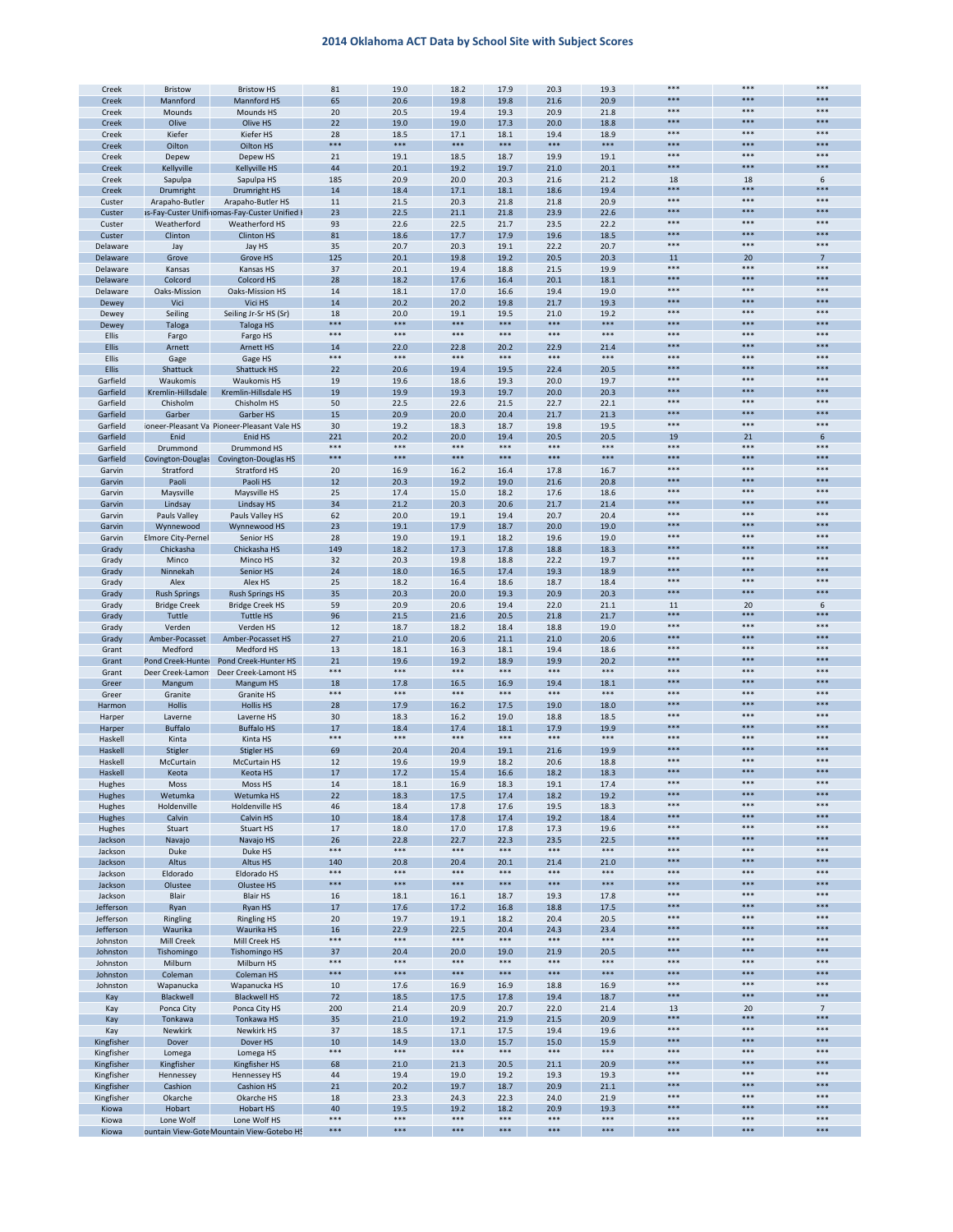|                | Bristow             | <b>Bristow HS</b>                                        | 81             | 19.0        |                |             |               |               | ***   |       |                 |
|----------------|---------------------|----------------------------------------------------------|----------------|-------------|----------------|-------------|---------------|---------------|-------|-------|-----------------|
| Creek          |                     |                                                          |                |             | 18.2           | 17.9        | 20.3          | 19.3          | ***   | ***   | ***             |
| Creek          | Mannford            | Mannford HS                                              | 65             | 20.6        | 19.8           | 19.8        | 21.6          | 20.9          |       |       |                 |
| Creek          | Mounds              | Mounds HS                                                | 20             | 20.5        | 19.4           | 19.3        | 20.9          | 21.8          | ***   | $***$ | $***$           |
| Creek          | Olive               | Olive HS                                                 | 22             | 19.0        | 19.0           | 17.3        | 20.0          | 18.8          | ***   | ***   | ***             |
| Creek          | Kiefer              | Kiefer HS                                                | 28             | 18.5        | 17.1           | 18.1        | 19.4          | 18.9          | ***   | $***$ | $***$           |
|                |                     |                                                          |                | ***         | ***            | ***         |               |               | ***   | ***   | ***             |
| Creek          | Oilton              | Oilton HS                                                | ***            |             |                |             | ***           | ***           |       |       |                 |
| Creek          | Depew               | Depew HS                                                 | 21             | 19.1        | 18.5           | 18.7        | 19.9          | 19.1          | ***   | $***$ | ***             |
| Creek          | Kellyville          | Kellyville HS                                            | 44             | 20.1        | 19.2           | 19.7        | 21.0          | 20.1          | ***   | ***   | ***             |
|                |                     |                                                          |                |             |                |             |               |               |       |       |                 |
| Creek          | Sapulpa             | Sapulpa HS                                               | 185            | 20.9        | 20.0           | 20.3        | 21.6          | 21.2          | 18    | 18    | 6               |
| Creek          | Drumright           | Drumright HS                                             | 14             | 18.4        | 17.1           | 18.1        | 18.6          | 19.4          | ***   | ***   | ***             |
| Custer         | Arapaho-Butler      | Arapaho-Butler HS                                        | 11             | 21.5        | 20.3           | 21.8        | 21.8          | 20.9          | ***   | ***   | $***$           |
| Custer         |                     |                                                          | 23             | 22.5        | 21.1           | 21.8        | 23.9          | 22.6          | ***   | ***   | ***             |
|                |                     | Is-Fay-Custer Unifinomas-Fay-Custer Unified I            |                |             |                |             |               |               |       |       |                 |
| Custer         | Weatherford         | Weatherford HS                                           | 93             | 22.6        | 22.5           | 21.7        | 23.5          | 22.2          | ***   | ***   | $***$           |
| Custer         | Clinton             | Clinton HS                                               | 81             | 18.6        | 17.7           | 17.9        | 19.6          | 18.5          | ***   | ***   | ***             |
|                |                     |                                                          |                |             |                |             |               |               | $***$ | $***$ | $***$           |
| Delaware       | Jay                 | Jay HS                                                   | 35             | 20.7        | 20.3           | 19.1        | 22.2          | 20.7          |       |       |                 |
| Delaware       | Grove               | Grove HS                                                 | 125            | 20.1        | 19.8           | 19.2        | 20.5          | 20.3          | 11    | 20    | $\overline{7}$  |
| Delaware       | Kansas              | Kansas HS                                                | 37             | 20.1        | 19.4           | 18.8        | 21.5          | 19.9          | ***   | ***   | $***$           |
| Delaware       | Colcord             | Colcord HS                                               | 28             | 18.2        | 17.6           | 16.4        | 20.1          | 18.1          | ***   | ***   | ***             |
|                |                     |                                                          |                |             |                |             |               |               |       |       |                 |
| Delaware       | Oaks-Mission        | Oaks-Mission HS                                          | 14             | 18.1        | 17.0           | 16.6        | 19.4          | 19.0          | ***   | ***   | $***$           |
| Dewey          | Vici                | Vici HS                                                  | 14             | 20.2        | 20.2           | 19.8        | 21.7          | 19.3          | ***   | ***   | $***$           |
| Dewey          | Seiling             | Seiling Jr-Sr HS (Sr)                                    | 18             | 20.0        | 19.1           | 19.5        | 21.0          | 19.2          | ***   | ***   | $***$           |
|                |                     |                                                          | ***            | ***         | $***$          | ***         | ***           | $***$         | ***   | ***   | ***             |
| Dewey          | Taloga              | <b>Taloga HS</b>                                         |                |             |                |             |               |               |       |       |                 |
| Ellis          | Fargo               | Fargo HS                                                 | ***            | ***         | $***$          | $***$       | $***$         | $***$         | ***   | ***   | $***$           |
| <b>Ellis</b>   | Arnett              | <b>Arnett HS</b>                                         | 14             | 22.0        | 22.8           | 20.2        | 22.9          | 21.4          | ***   | ***   | ***             |
| Ellis          | Gage                | Gage HS                                                  | $***$          | ***         | $***$          | $***$       | $***$         | $***$         | $***$ | $***$ | $***$           |
|                |                     |                                                          |                |             |                |             |               |               | ***   | ***   | ***             |
| <b>Ellis</b>   | Shattuck            | Shattuck HS                                              | 22             | 20.6        | 19.4           | 19.5        | 22.4          | 20.5          |       |       |                 |
| Garfield       | Waukomis            | <b>Waukomis HS</b>                                       | 19             | 19.6        | 18.6           | 19.3        | 20.0          | 19.7          | ***   | $***$ | ***             |
| Garfield       | Kremlin-Hillsdale   | Kremlin-Hillsdale HS                                     | 19             | 19.9        | 19.3           | 19.7        | 20.0          | 20.3          | ***   | ***   | ***             |
|                |                     |                                                          |                |             |                |             |               |               | ***   | ***   | $***$           |
| Garfield       | Chisholm            | Chisholm HS                                              | 50             | 22.5        | 22.6           | 21.5        | 22.7          | 22.1          |       |       |                 |
| Garfield       | Garber              | Garber HS                                                | 15             | 20.9        | 20.0           | 20.4        | 21.7          | 21.3          | ***   | ***   | $***$           |
| Garfield       |                     | oneer-Pleasant Va Pioneer-Pleasant Vale HS               | 30             | 19.2        | 18.3           | 18.7        | 19.8          | 19.5          | ***   | ***   | $***$           |
|                |                     |                                                          |                |             |                |             |               |               |       |       |                 |
| Garfield       | Enid                | Enid HS                                                  | 221            | 20.2        | 20.0           | 19.4        | 20.5          | 20.5          | 19    | 21    | 6               |
| Garfield       | Drummond            | Drummond HS                                              | $***$          | ***         | ***            | ***         | ***           | ***           | ***   | ***   | $***$           |
| Garfield       |                     | Covington-Douglas Covington-Douglas HS                   | ***            | ***         | ***            | ***         | ***           | ***           | ***   | ***   | ***             |
|                |                     |                                                          |                |             |                |             | 17.8          |               | ***   | $***$ | $***$           |
| Garvin         | Stratford           | Stratford HS                                             | 20             | 16.9        | 16.2           | 16.4        |               | 16.7          |       |       |                 |
| Garvin         | Paoli               | Paoli HS                                                 | 12             | 20.3        | 19.2           | 19.0        | 21.6          | 20.8          | ***   | ***   | ***             |
| Garvin         | Maysville           | Maysville HS                                             | 25             | 17.4        | 15.0           | 18.2        | 17.6          | 18.6          | ***   | $***$ | ***             |
| Garvin         | Lindsay             | Lindsay HS                                               | 34             | 21.2        | 20.3           | 20.6        | 21.7          | 21.4          | ***   | ***   | ***             |
|                |                     |                                                          |                |             |                |             |               |               |       |       |                 |
| Garvin         | Pauls Valley        | Pauls Valley HS                                          | 62             | 20.0        | 19.1           | 19.4        | 20.7          | 20.4          | ***   | ***   | $***$           |
| Garvin         | Wynnewood           | Wynnewood HS                                             | 23             | 19.1        | 17.9           | 18.7        | 20.0          | 19.0          | ***   | ***   | $***$           |
| Garvin         | Elmore City-Pernel  | Senior HS                                                | 28             | 19.0        | 19.1           | 18.2        | 19.6          | 19.0          | ***   | ***   | $***$           |
|                |                     |                                                          |                |             |                |             |               |               | ***   | ***   | ***             |
| Grady          | Chickasha           | Chickasha HS                                             | 149            | 18.2        | 17.3           | 17.8        | 18.8          | 18.3          |       |       |                 |
| Grady          | Minco               | Minco HS                                                 | 32             | 20.3        | 19.8           | 18.8        | 22.2          | 19.7          | ***   | ***   | $***$           |
| Grady          | Ninnekah            | Senior HS                                                | 24             | 18.0        | 16.5           | 17.4        | 19.3          | 18.9          | ***   | ***   | ***             |
|                |                     |                                                          |                |             |                |             |               |               | ***   | $***$ | $***$           |
| Grady          | Alex                | Alex HS                                                  | 25             | 18.2        | 16.4           | 18.6        | 18.7          | 18.4          |       |       |                 |
| Grady          | <b>Rush Springs</b> | <b>Rush Springs HS</b>                                   | 35             | 20.3        | 20.0           | 19.3        | 20.9          | 20.3          | ***   | ***   | ***             |
| Grady          | <b>Bridge Creek</b> | <b>Bridge Creek HS</b>                                   | 59             | 20.9        | 20.6           | 19.4        | 22.0          | 21.1          | 11    | 20    | 6               |
| Grady          | Tuttle              | <b>Tuttle HS</b>                                         | 96             | 21.5        | 21.6           | 20.5        | 21.8          | 21.7          | $***$ | ***   | ***             |
|                |                     |                                                          |                |             |                |             |               |               |       |       |                 |
| Grady          | Verden              | Verden HS                                                | 12             | 18.7        | 18.2           | 18.4        | 18.8          | 19.0          | ***   | ***   | $***$           |
| Grady          | Amber-Pocasset      | Amber-Pocasset HS                                        | 27             | 21.0        | 20.6           | 21.1        | 21.0          | 20.6          | ***   | ***   | ***             |
| Grant          | Medford             | Medford HS                                               | 13             | 18.1        | 16.3           | 18.1        | 19.4          | 18.6          | ***   | ***   | $***$           |
|                |                     |                                                          |                |             |                |             |               |               | ***   | ***   | ***             |
| Grant          | Pond Creek-Hunter   | Pond Creek-Hunter HS                                     | 21             | 19.6        | 19.2           | 18.9        | 19.9          | 20.2          |       |       |                 |
| Grant          | Deer Creek-Lamon    | Deer Creek-Lamont HS                                     | ***            | ***         | ***            | $***$       | $***$         | $***$         | ***   | $***$ | $***$           |
| Greer          | Mangum              | Mangum HS                                                | 18             | 17.8        | 16.5           | 16.9        | 19.4          | 18.1          | ***   | ***   | ***             |
|                |                     |                                                          | $***$          | ***         | $***$          | $***$       | $***$         | $***$         | $***$ | $***$ | $***$           |
| Greer          | Granite             | Granite HS                                               |                |             |                |             |               |               |       |       |                 |
| Harmon         | Hollis              | <b>Hollis HS</b>                                         | 28             | 17.9        | 16.2           | 17.5        | 19.0          | 18.0          | ***   | ***   | ***             |
| Harper         | Laverne             | Laverne HS                                               | 30             | 18.3        | 16.2           | 19.0        | 18.8          | 18.5          | ***   | $***$ | $***$           |
| Harper         | <b>Buffalo</b>      | <b>Buffalo HS</b>                                        | 17             | 18.4        | 17.4           |             |               |               |       |       |                 |
|                |                     |                                                          |                |             |                |             |               |               | ***   | ***   | ***             |
| Haskell        | Kinta               |                                                          |                |             |                | 18.1        | 17.9          | 19.9          |       |       |                 |
| Haskell        |                     | Kinta HS                                                 | $***$          | ***         | $***$          | ***         | $***$         | ***           | ***   | ***   | $***$           |
| Haskell        | Stigler             | <b>Stigler HS</b>                                        | 69             | 20.4        | 20.4           | 19.1        | 21.6          | 19.9          | ***   | ***   | $***$           |
|                |                     |                                                          |                |             |                |             |               |               | ***   | ***   | $***$           |
|                | McCurtain           | <b>McCurtain HS</b>                                      | 12             | 19.6        | 19.9           | 18.2        | 20.6          | 18.8          |       |       |                 |
| Haskell        | Keota               | Keota HS                                                 | 17             | 17.2        | 15.4           | 16.6        | 18.2          | 18.3          | ***   | ***   | ***             |
|                | Moss                | Moss HS                                                  | 14             | 18.1        | 16.9           | 18.3        | 19.1          | 17.4          |       |       |                 |
| Hughes         |                     |                                                          |                |             |                |             |               |               | ***   | ***   | ***             |
| Hughes         | Wetumka             | Wetumka HS                                               | 22             | 18.3        | 17.5           | 17.4        | 18.2          | 19.2          |       |       |                 |
| Hughes         | Holdenville         | Holdenville HS                                           | 46             | 18.4        | 17.8           | 17.6        | 19.5          | 18.3          | $***$ | $***$ | $***$           |
| Hughes         | Calvin              | Calvin HS                                                | 10             | 18.4        | 17.8           | 17.4        | 19.2          | 18.4          | ***   | ***   | ***             |
| Hughes         | Stuart              | Stuart HS                                                | 17             | 18.0        | 17.0           | 17.8        | 17.3          | 19.6          | $***$ | $***$ | $***$           |
|                |                     |                                                          |                |             |                |             |               |               | ***   | ***   | ***             |
| Jackson        | Navajo              | Navajo HS                                                | 26             | 22.8        | 22.7           | 22.3        | 23.5          | 22.5          |       |       |                 |
| Jackson        | Duke                | Duke HS                                                  | $***$          | $***$       | $***$          | $***$       | $***$         | $***$         | ***   | $***$ | $***$           |
| Jackson        | Altus               | Altus HS                                                 | 140            | 20.8        | 20.4           | 20.1        | 21.4          | 21.0          | ***   | ***   | ***             |
|                | Eldorado            |                                                          | ***            | ***         | $***$          | $***$       | ***           | $***$         | ***   | $***$ | $***$           |
| Jackson        |                     | Eldorado HS                                              |                |             |                |             |               |               |       |       |                 |
| Jackson        | Olustee             | Olustee HS                                               | $***$          | ***         | $***$          | ***         | $***$         | $***$         | ***   | ***   | ***             |
| Jackson        | Blair               | <b>Blair HS</b>                                          | 16             | 18.1        | 16.1           | 18.7        | 19.3          | 17.8          | $***$ | $***$ | ***             |
| Jefferson      |                     | Ryan HS                                                  | 17             | 17.6        | 17.2           | 16.8        | 18.8          | 17.5          | ***   | ***   | ***             |
|                | Ryan                |                                                          |                |             |                |             |               |               | $***$ | $***$ | $***$           |
| Jefferson      | Ringling            | <b>Ringling HS</b>                                       | 20             | 19.7        | 19.1           | 18.2        | 20.4          | 20.5          |       |       |                 |
| Jefferson      | Waurika             | Waurika HS                                               | 16             | 22.9        | 22.5           | 20.4        | 24.3          | 23.4          | ***   | ***   | ***             |
| Johnston       | Mill Creek          | Mill Creek HS                                            | ***            | $***$       | $***$          | $***$       | ***           | $***$         | $***$ | $***$ | $***$           |
|                | Tishomingo          |                                                          |                |             |                |             |               |               | ***   | ***   | ***             |
| Johnston       |                     | <b>Tishomingo HS</b>                                     | 37             | 20.4        | 20.0           | 19.0        | 21.9          | 20.5          |       |       |                 |
| Johnston       | Milburn             | Milburn HS                                               | $***$          | $***$       | $***$          | $***$       | $***$         | $***$         | ***   | $***$ | $***$           |
| Johnston       | Coleman             | Coleman HS                                               | ***            | ***         | ***            | ***         | ***           | $***$         | ***   | ***   | ***             |
|                | Wapanucka           | Wapanucka HS                                             | 10             | 17.6        | 16.9           | 16.9        | 18.8          | 16.9          | ***   | $***$ | $***$           |
| Johnston       |                     |                                                          |                |             |                |             |               |               | ***   | ***   | ***             |
| Kay            | Blackwell           | <b>Blackwell HS</b>                                      | 72             | 18.5        | 17.5           | 17.8        | 19.4          | 18.7          |       |       |                 |
| Kay            | Ponca City          | Ponca City HS                                            | 200            | 21.4        | 20.9           | 20.7        | 22.0          | 21.4          | 13    | 20    | $7\overline{ }$ |
| Kay            | Tonkawa             | Tonkawa HS                                               |                | 21.0        | 19.2           | 21.9        | 21.5          | 20.9          | ***   | ***   | ***             |
|                |                     |                                                          | 35             |             |                |             |               |               | $***$ | $***$ | $***$           |
| Kay            | Newkirk             | Newkirk HS                                               | 37             | 18.5        | 17.1           | 17.5        | 19.4          | 19.6          |       |       |                 |
| Kingfisher     | Dover               | Dover HS                                                 | 10             | 14.9        | 13.0           | 15.7        | 15.0          | 15.9          | ***   | ***   | ***             |
| Kingfisher     | Lomega              | Lomega HS                                                | ***            | ***         | $***$          | $***$       | ***           | $***$         | ***   | $***$ | $***$           |
| Kingfisher     | Kingfisher          | Kingfisher HS                                            | 68             | 21.0        | 21.3           | 20.5        | 21.1          | 20.9          | ***   | ***   | ***             |
|                |                     |                                                          |                |             |                |             |               |               | ***   |       |                 |
| Kingfisher     | Hennessey           | <b>Hennessey HS</b>                                      | 44             | 19.4        | 19.0           | 19.2        | 19.3          | 19.3          |       | $***$ | $***$           |
| Kingfisher     | Cashion             | Cashion HS                                               | 21             | 20.2        | 19.7           | 18.7        | 20.9          | 21.1          | ***   | ***   | ***             |
| Kingfisher     | Okarche             | Okarche HS                                               | 18             | 23.3        | 24.3           | 22.3        | 24.0          | 21.9          | ***   | $***$ | $***$           |
|                |                     |                                                          |                |             |                |             |               |               | ***   | ***   | ***             |
| Kiowa          | Hobart              | <b>Hobart HS</b>                                         | 40             | 19.5<br>*** | 19.2           | 18.2<br>*** | 20.9<br>$***$ | 19.3<br>$***$ | ***   | $***$ | ***             |
| Kiowa<br>Kiowa | Lone Wolf           | Lone Wolf HS<br>puntain View-GoteMountain View-Gotebo HS | $***$<br>$***$ | $***$       | $***$<br>$***$ | $***$       | $***$         | $***$         | ***   | $***$ | $***$           |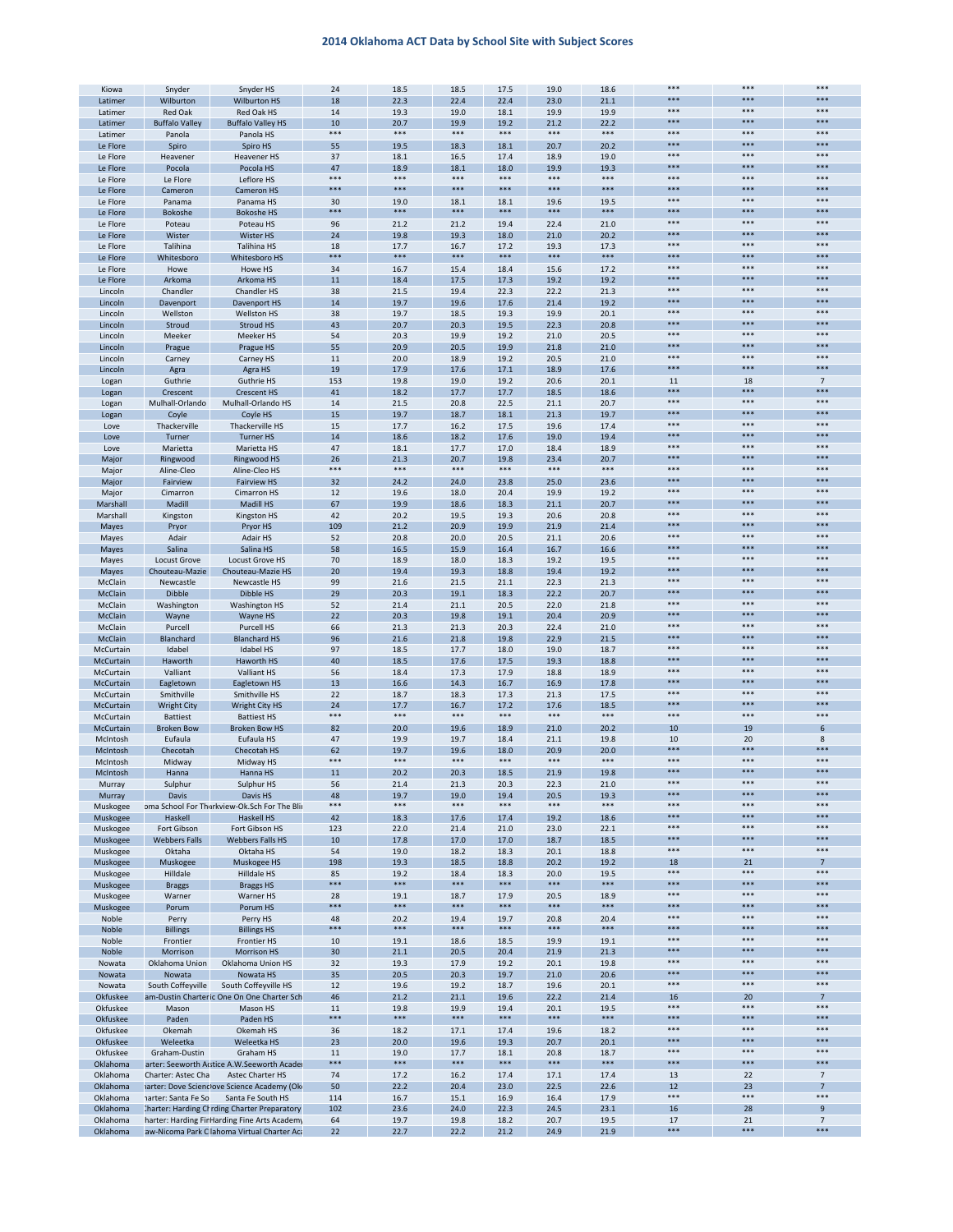| Kiowa           | Snyder                | Snyder HS                                    | 24    | 18.5  | 18.5  | 17.5  | 19.0  | 18.6      | ***       | ***       | ***                      |
|-----------------|-----------------------|----------------------------------------------|-------|-------|-------|-------|-------|-----------|-----------|-----------|--------------------------|
|                 |                       |                                              |       |       |       |       |       |           | ***       | ***       | ***                      |
| Latimer         | Wilburton             | <b>Wilburton HS</b>                          | 18    | 22.3  | 22.4  | 22.4  | 23.0  | 21.1      | ***       | ***       | ***                      |
| Latimer         | <b>Red Oak</b>        | Red Oak HS                                   | 14    | 19.3  | 19.0  | 18.1  | 19.9  | 19.9      |           |           |                          |
| Latimer         | <b>Buffalo Valley</b> | <b>Buffalo Valley HS</b>                     | 10    | 20.7  | 19.9  | 19.2  | 21.2  | 22.2      | ***       | ***       | ***                      |
| Latimer         | Panola                | Panola HS                                    | $***$ | ***   | $***$ | $***$ | $***$ | $***$     | ***       | ***       | $***$                    |
| Le Flore        | Spiro                 | Spiro HS                                     | 55    | 19.5  | 18.3  | 18.1  | 20.7  | 20.2      | ***       | ***       | ***                      |
| Le Flore        | Heavener              | <b>Heavener HS</b>                           | 37    | 18.1  | 16.5  | 17.4  | 18.9  | 19.0      | ***       | $***$     | $***$                    |
| Le Flore        | Pocola                | Pocola HS                                    | 47    | 18.9  | 18.1  | 18.0  | 19.9  | 19.3      | ***       | ***       | ***                      |
|                 |                       |                                              | $***$ | ***   | $***$ | ***   | $***$ | $***$     | ***       | $***$     | $***$                    |
| Le Flore        | Le Flore              | Leflore HS                                   |       |       |       |       |       |           |           |           |                          |
| Le Flore        | Cameron               | Cameron HS                                   | $***$ | ***   | ***   | ***   | $***$ | $* * * *$ | $***$     | ***       | ***                      |
| Le Flore        | Panama                | Panama HS                                    | 30    | 19.0  | 18.1  | 18.1  | 19.6  | 19.5      | ***       | ***       | $***$                    |
| Le Flore        | Bokoshe               | <b>Bokoshe HS</b>                            | $***$ | ***   | $***$ | $***$ | ***   | $***$     | ***       | ***       | ***                      |
| Le Flore        | Poteau                | Poteau HS                                    | 96    | 21.2  | 21.2  | 19.4  | 22.4  | 21.0      | ***       | ***       | ***                      |
| Le Flore        | Wister                | Wister HS                                    | 24    | 19.8  | 19.3  | 18.0  | 21.0  | 20.2      | ***       | ***       | ***                      |
|                 | Talihina              |                                              |       |       |       |       |       |           | $***$     | ***       | $***$                    |
| Le Flore        |                       | Talihina HS                                  | 18    | 17.7  | 16.7  | 17.2  | 19.3  | 17.3      | ***       |           |                          |
| Le Flore        | Whitesboro            | Whitesboro HS                                | ***   | ***   | ***   | ***   | ***   | ***       |           | ***       | ***                      |
| Le Flore        | Howe                  | Howe HS                                      | 34    | 16.7  | 15.4  | 18.4  | 15.6  | 17.2      | ***       | $***$     | $***$                    |
| Le Flore        | Arkoma                | Arkoma HS                                    | 11    | 18.4  | 17.5  | 17.3  | 19.2  | 19.2      | ***       | ***       | ***                      |
| Lincoln         | Chandler              | Chandler HS                                  | 38    | 21.5  | 19.4  | 22.3  | 22.2  | 21.3      | $***$     | $***$     | $***$                    |
| Lincoln         | Davenport             | Davenport HS                                 | 14    | 19.7  | 19.6  | 17.6  | 21.4  | 19.2      | $***$     | ***       | ***                      |
| Lincoln         | Wellston              | Wellston HS                                  | 38    | 19.7  | 18.5  | 19.3  | 19.9  | 20.1      | ***       | ***       | $***$                    |
|                 |                       |                                              |       |       |       |       |       |           | ***       | ***       | ***                      |
| Lincoln         | Stroud                | Stroud HS                                    | 43    | 20.7  | 20.3  | 19.5  | 22.3  | 20.8      | ***       | $***$     | ***                      |
| Lincoln         | Meeker                | Meeker HS                                    | 54    | 20.3  | 19.9  | 19.2  | 21.0  | 20.5      |           |           |                          |
| Lincoln         | Prague                | Prague HS                                    | 55    | 20.9  | 20.5  | 19.9  | 21.8  | 21.0      | ***       | ***       | ***                      |
| Lincoln         | Carney                | Carney HS                                    | 11    | 20.0  | 18.9  | 19.2  | 20.5  | 21.0      | $***$     | ***       | $***$                    |
| Lincoln         | Agra                  | Agra HS                                      | 19    | 17.9  | 17.6  | 17.1  | 18.9  | 17.6      | ***       | ***       | ***                      |
| Logan           | Guthrie               | <b>Guthrie HS</b>                            | 153   | 19.8  | 19.0  | 19.2  | 20.6  | 20.1      | 11        | 18        | $7\phantom{.0}$          |
|                 |                       |                                              | 41    |       |       |       |       |           | ***       | ***       | ***                      |
| Logan           | Crescent              | <b>Crescent HS</b>                           |       | 18.2  | 17.7  | 17.7  | 18.5  | 18.6      | ***       | $***$     | $***$                    |
| Logan           | Mulhall-Orlando       | Mulhall-Orlando HS                           | 14    | 21.5  | 20.8  | 22.5  | 21.1  | 20.7      |           |           |                          |
| Logan           | Coyle                 | Coyle HS                                     | 15    | 19.7  | 18.7  | 18.1  | 21.3  | 19.7      | $***$     | ***       | ***                      |
| Love            | Thackerville          | Thackerville HS                              | 15    | 17.7  | 16.2  | 17.5  | 19.6  | 17.4      | ***       | ***       | $***$                    |
| Love            | Turner                | <b>Turner HS</b>                             | 14    | 18.6  | 18.2  | 17.6  | 19.0  | 19.4      | ***       | ***       | ***                      |
| Love            | Marietta              | Marietta HS                                  | 47    | 18.1  | 17.7  | 17.0  | 18.4  | 18.9      | ***       | ***       | ***                      |
| Major           | Ringwood              | <b>Ringwood HS</b>                           | 26    | 21.3  | 20.7  | 19.8  | 23.4  | 20.7      | ***       | ***       | ***                      |
|                 |                       |                                              | $***$ | ***   | $***$ | $***$ | $***$ | $***$     | ***       | ***       | $***$                    |
| Major           | Aline-Cleo            | Aline-Cleo HS                                |       |       |       |       |       |           | ***       |           |                          |
| Major           | Fairview              | <b>Fairview HS</b>                           | 32    | 24.2  | 24.0  | 23.8  | 25.0  | 23.6      |           | ***       | ***                      |
| Major           | Cimarron              | Cimarron HS                                  | 12    | 19.6  | 18.0  | 20.4  | 19.9  | 19.2      | ***       | $***$     | $***$                    |
| Marshall        | Madill                | Madill HS                                    | 67    | 19.9  | 18.6  | 18.3  | 21.1  | 20.7      | ***       | ***       | ***                      |
| Marshall        | Kingston              | <b>Kingston HS</b>                           | 42    | 20.2  | 19.5  | 19.3  | 20.6  | 20.8      | $***$     | $***$     | $***$                    |
| Mayes           | Pryor                 | Pryor HS                                     | 109   | 21.2  | 20.9  | 19.9  | 21.9  | 21.4      | $***$     | ***       | ***                      |
| Mayes           | Adair                 | Adair HS                                     | 52    | 20.8  | 20.0  | 20.5  | 21.1  | 20.6      | ***       | ***       | $***$                    |
|                 |                       |                                              |       |       |       |       |       |           | ***       | ***       | ***                      |
| Mayes           | Salina                | Salina HS                                    | 58    | 16.5  | 15.9  | 16.4  | 16.7  | 16.6      | ***       | $***$     | ***                      |
| Mayes           | Locust Grove          | Locust Grove HS                              | 70    | 18.9  | 18.0  | 18.3  | 19.2  | 19.5      |           |           |                          |
| Mayes           | Chouteau-Mazie        | Chouteau-Mazie HS                            | 20    | 19.4  | 19.3  | 18.8  | 19.4  | 19.2      | ***       | ***       | ***                      |
| McClain         | Newcastle             | Newcastle HS                                 | 99    | 21.6  | 21.5  | 21.1  | 22.3  | 21.3      | $***$     | ***       | $***$                    |
| McClain         | Dibble                | Dibble HS                                    | 29    | 20.3  | 19.1  | 18.3  | 22.2  | 20.7      | ***       | ***       | ***                      |
| McClain         | Washington            | Washington HS                                | 52    | 21.4  | 21.1  | 20.5  | 22.0  | 21.8      | ***       | $***$     | $***$                    |
| <b>McClain</b>  | Wayne                 | Wayne HS                                     | 22    | 20.3  | 19.8  | 19.1  | 20.4  | 20.9      | ***       | ***       | ***                      |
|                 |                       |                                              |       |       |       |       |       |           | $***$     | $***$     | $***$                    |
| McClain         | Purcell               | Purcell HS                                   | 66    | 21.3  | 21.3  | 20.3  | 22.4  | 21.0      |           |           |                          |
| McClain         | Blanchard             | <b>Blanchard HS</b>                          | 96    | 21.6  | 21.8  | 19.8  | 22.9  | 21.5      | $***$     | ***       | ***                      |
| McCurtain       | Idabel                | Idabel HS                                    | 97    | 18.5  | 17.7  | 18.0  | 19.0  | 18.7      | ***       | ***       | $***$                    |
| McCurtain       | Haworth               | Haworth HS                                   | 40    | 18.5  | 17.6  | 17.5  | 19.3  | 18.8      | ***       | ***       | ***                      |
| McCurtain       | Valliant              | Valliant HS                                  | 56    | 18.4  | 17.3  | 17.9  | 18.8  | 18.9      | ***       | $***$     | ***                      |
|                 | Eagletown             | Eagletown HS                                 | 13    | 16.6  | 14.3  | 16.7  | 16.9  | 17.8      | ***       | ***       | ***                      |
| McCurtain       |                       |                                              |       |       |       |       |       |           | $***$     | ***       | $***$                    |
| McCurtain       | Smithville            | Smithville HS                                | 22    | 18.7  | 18.3  | 17.3  | 21.3  | 17.5      |           |           |                          |
| McCurtain       | <b>Wright City</b>    | Wright City HS                               | 24    | 17.7  | 16.7  | 17.2  | 17.6  | 18.5      | ***       | ***       | ***                      |
| McCurtain       | <b>Battiest</b>       | <b>Battiest HS</b>                           | $***$ | ***   | $***$ | $***$ | $***$ | $***$     | ***       | $***$     | $***$                    |
| McCurtain       | <b>Broken Bow</b>     | <b>Broken Bow HS</b>                         | 82    | 20.0  | 19.6  | 18.9  | 21.0  | 20.2      | 10        | 19        | 6                        |
| McIntosh        | Eufaula               | Eufaula HS                                   | 47    | 19.9  | 19.7  | 18.4  | 21.1  | 19.8      | 10        | 20        | 8                        |
| McIntosh        | Checotah              | Checotah HS                                  | 62    | 19.7  | 19.6  | 18.0  | 20.9  | 20.0      | $***$     | ***       | ***                      |
|                 |                       | Midway HS                                    | $***$ | ***   | ***   | ***   | ***   | ***       | ***       | ***       | ***                      |
| McIntosh        | Midway                |                                              |       |       |       |       |       |           | ***       | ***       | ***                      |
| McIntosh        | Hanna                 | Hanna HS                                     | 11    | 20.2  | 20.3  | 18.5  | 21.9  | 19.8      |           |           |                          |
| murray          | Sulphur               | Sulphur HS                                   | 56    | 21.4  | 21.3  | 20.3  | 22.3  | 21.U      |           |           |                          |
| Murray          | Davis                 | Davis HS                                     | 48    | 19.7  | 19.0  | 19.4  | 20.5  | 19.3      | ***       | ***       | ***                      |
| Muskogee        |                       | oma School For Thurkview-Ok.Sch For The Blir | $***$ | $***$ | $***$ | $***$ | $***$ |           | ***       | $***$     | $***$                    |
| Muskogee        | Haskell               | Haskell HS                                   | 42    |       |       |       |       | $***$     |           |           |                          |
| Muskogee        |                       |                                              |       | 18.3  | 17.6  | 17.4  | 19.2  | 18.6      | ***       | ***       | ***                      |
|                 |                       |                                              | 123   |       |       |       |       | 22.1      | ***       | $***$     | $***$                    |
|                 | Fort Gibson           | Fort Gibson HS                               |       | 22.0  | 21.4  | 21.0  | 23.0  |           | ***       | ***       | ***                      |
| Muskogee        | <b>Webbers Falls</b>  | <b>Webbers Falls HS</b>                      | 10    | 17.8  | 17.0  | 17.0  | 18.7  | 18.5      |           |           |                          |
| Muskogee        | Oktaha                | Oktaha HS                                    | 54    | 19.0  | 18.2  | 18.3  | 20.1  | 18.8      | $***$     | $***$     | $***$                    |
| Muskogee        | Muskogee              | Muskogee HS                                  | 198   | 19.3  | 18.5  | 18.8  | 20.2  | 19.2      | 18        | 21        | $\overline{7}$           |
| Muskogee        | Hilldale              | Hilldale HS                                  | 85    | 19.2  | 18.4  | 18.3  | 20.0  | 19.5      | ***       | ***       | $***$                    |
| Muskogee        | <b>Braggs</b>         | <b>Braggs HS</b>                             | ***   | ***   | $***$ | $***$ | $***$ | $***$     | ***       | ***       | ***                      |
| Muskogee        | Warner                | Warner HS                                    | 28    | 19.1  | 18.7  | 17.9  | 20.5  | 18.9      | ***       | $***$     | $***$                    |
|                 |                       |                                              | ***   | ***   | $***$ | ***   | ***   | $***$     | ***       | ***       | ***                      |
| Muskogee        | Porum                 | Porum HS                                     |       |       |       |       |       |           |           |           |                          |
| Noble           | Perry                 | Perry HS                                     | 48    | 20.2  | 19.4  | 19.7  | 20.8  | 20.4      | ***       | $***$     | $***$                    |
| Noble           | <b>Billings</b>       | <b>Billings HS</b>                           | ***   | ***   | ***   | ***   | ***   | ***       | ***       | ***       | ***                      |
| Noble           | Frontier              | Frontier HS                                  | 10    | 19.1  | 18.6  | 18.5  | 19.9  | 19.1      | $***$     | $***$     | $***$                    |
| Noble           | Morrison              | <b>Morrison HS</b>                           | 30    | 21.1  | 20.5  | 20.4  | 21.9  | 21.3      | ***       | ***       | ***                      |
| Nowata          | Oklahoma Union        | Oklahoma Union HS                            | 32    | 19.3  | 17.9  | 19.2  | 20.1  | 19.8      | ***       | $***$     | $***$                    |
| Nowata          | Nowata                | Nowata HS                                    | 35    | 20.5  | 20.3  | 19.7  | 21.0  | 20.6      | ***       | ***       | ***                      |
|                 |                       |                                              |       |       |       |       |       |           | ***       | ***       | $***$                    |
| Nowata          | South Coffeyville     | South Coffeyville HS                         | 12    | 19.6  | 19.2  | 18.7  | 19.6  | 20.1      |           |           |                          |
| <b>Okfuskee</b> |                       | am-Dustin Charteric One On One Charter Sch   | 46    | 21.2  | 21.1  | 19.6  | 22.2  | 21.4      | 16        | 20        | $7\phantom{.0}$          |
| Okfuskee        | Mason                 | Mason HS                                     | 11    | 19.8  | 19.9  | 19.4  | 20.1  | 19.5      | ***       | ***       | $***$                    |
| Okfuskee        | Paden                 | Paden HS                                     | ***   | ***   | $***$ | ***   | ***   | $***$     | ***       | ***       | ***                      |
| Okfuskee        | Okemah                | Okemah HS                                    | 36    | 18.2  | 17.1  | 17.4  | 19.6  | 18.2      | ***       | $***$     | $***$                    |
| Okfuskee        | Weleetka              | Weleetka HS                                  | 23    | 20.0  | 19.6  | 19.3  | 20.7  | 20.1      | ***       | ***       | ***                      |
| Okfuskee        | Graham-Dustin         | Graham HS                                    | 11    | 19.0  | 17.7  | 18.1  | 20.8  | 18.7      | ***       | $***$     | $***$                    |
|                 |                       |                                              | ***   | ***   | $***$ | ***   | $***$ | $***$     | ***       | ***       | ***                      |
| Oklahoma        |                       | arter: Seeworth Actice A.W.Seeworth Acader   |       |       |       |       |       |           |           |           |                          |
| Oklahoma        | Charter: Astec Cha    | Astec Charter HS                             | 74    | 17.2  | 16.2  | 17.4  | 17.1  | 17.4      | 13        | 22        | $7\overline{ }$          |
| Oklahoma        |                       | arter: Dove Scienclove Science Academy (Oki  | 50    | 22.2  | 20.4  | 23.0  | 22.5  | 22.6      | 12        | 23        | $\overline{7}$           |
| Oklahoma        | narter: Santa Fe So   | Santa Fe South HS                            | 114   | 16.7  | 15.1  | 16.9  | 16.4  | 17.9      | ***       | ***       | $***$                    |
| Oklahoma        |                       | harter: Harding Chrding Charter Preparatory  | 102   | 23.6  | 24.0  | 22.3  | 24.5  | 23.1      | 16        | 28        | $9\,$                    |
| Oklahoma        |                       | harter: Harding FinHarding Fine Arts Academy | 64    | 19.7  | 19.8  | 18.2  | 20.7  | 19.5      | 17<br>*** | 21<br>*** | $7\overline{ }$<br>$***$ |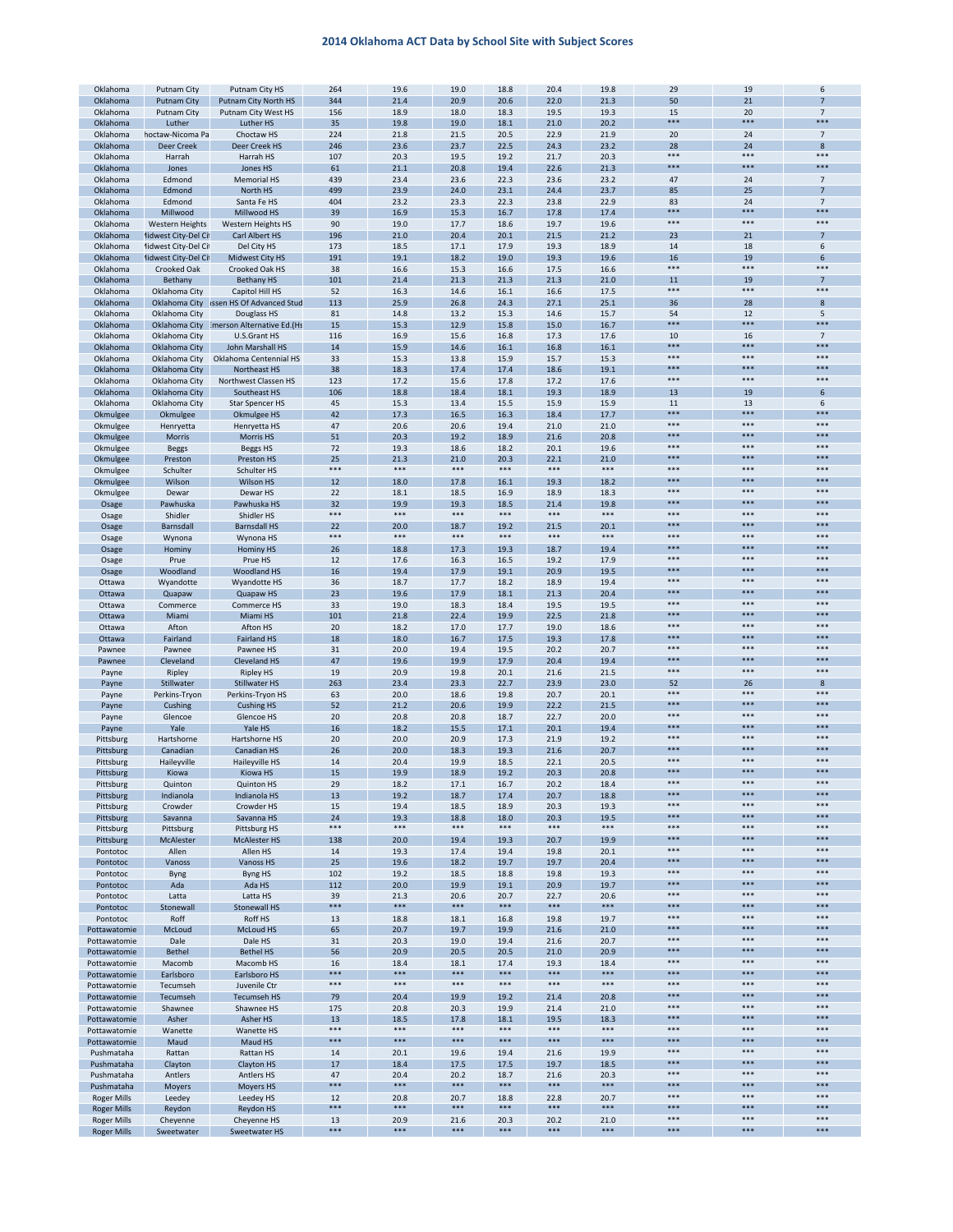| Oklahoma           | Putnam City          | Putnam City HS                          | 264   | 19.6  | 19.0  | 18.8  | 20.4  | 19.8  | 29    | 19    | 6               |
|--------------------|----------------------|-----------------------------------------|-------|-------|-------|-------|-------|-------|-------|-------|-----------------|
| Oklahoma           | <b>Putnam City</b>   | Putnam City North HS                    | 344   | 21.4  | 20.9  | 20.6  | 22.0  | 21.3  | 50    | 21    | 7               |
| Oklahoma           | <b>Putnam City</b>   | Putnam City West HS                     | 156   | 18.9  | 18.0  | 18.3  | 19.5  | 19.3  | 15    | 20    | $\overline{7}$  |
| Oklahoma           | Luther               | <b>Luther HS</b>                        | 35    | 19.8  | 19.0  | 18.1  | 21.0  | 20.2  | ***   | ***   | **:             |
| Oklahoma           | noctaw-Nicoma Pa     | Choctaw HS                              | 224   | 21.8  | 21.5  | 20.5  | 22.9  | 21.9  | 20    | 24    | $\overline{7}$  |
|                    |                      |                                         |       |       |       |       |       |       |       |       |                 |
| Oklahoma           | <b>Deer Creek</b>    | Deer Creek HS                           | 246   | 23.6  | 23.7  | 22.5  | 24.3  | 23.2  | 28    | 24    | 8               |
| Oklahoma           | Harrah               | Harrah HS                               | 107   | 20.3  | 19.5  | 19.2  | 21.7  | 20.3  | ***   | ***   | ***             |
| Oklahoma           | Jones                | Jones HS                                | 61    | 21.1  | 20.8  | 19.4  | 22.6  | 21.3  | ***   | ***   | ***             |
| Oklahoma           | Edmond               | <b>Memorial HS</b>                      | 439   | 23.4  | 23.6  | 22.3  | 23.6  | 23.2  | 47    | 24    | $\overline{7}$  |
| Oklahoma           | Edmond               | North HS                                | 499   | 23.9  | 24.0  | 23.1  | 24.4  | 23.7  | 85    | 25    | $\overline{7}$  |
| Oklahoma           | Edmond               | Santa Fe HS                             | 404   | 23.2  | 23.3  | 22.3  | 23.8  | 22.9  | 83    | 24    | $\overline{7}$  |
|                    |                      |                                         |       |       |       |       |       |       | ***   | ***   | ***             |
| Oklahoma           | Millwood             | Millwood HS                             | 39    | 16.9  | 15.3  | 16.7  | 17.8  | 17.4  |       |       |                 |
| Oklahoma           | Western Heights      | Western Heights HS                      | 90    | 19.0  | 17.7  | 18.6  | 19.7  | 19.6  | $***$ | ***   | ***             |
| Oklahoma           | lidwest City-Del Cil | Carl Albert HS                          | 196   | 21.0  | 20.4  | 20.1  | 21.5  | 21.2  | 23    | 21    | 7               |
| Oklahoma           | lidwest City-Del Cil | Del City HS                             | 173   | 18.5  | 17.1  | 17.9  | 19.3  | 18.9  | 14    | 18    | 6               |
| Oklahoma           | lidwest City-Del Cil | Midwest City HS                         | 191   | 19.1  | 18.2  | 19.0  | 19.3  | 19.6  | 16    | 19    | 6               |
|                    |                      | Crooked Oak HS                          |       |       |       |       |       |       | ***   | ***   | ***             |
| Oklahoma           | Crooked Oak          |                                         | 38    | 16.6  | 15.3  | 16.6  | 17.5  | 16.6  |       |       |                 |
| Oklahoma           | Bethany              | <b>Bethany HS</b>                       | 101   | 21.4  | 21.3  | 21.3  | 21.3  | 21.0  | 11    | 19    | $\overline{7}$  |
| Oklahoma           | Oklahoma City        | Capitol Hill HS                         | 52    | 16.3  | 14.6  | 16.1  | 16.6  | 17.5  | $***$ | ***   | $***$           |
| Oklahoma           |                      | Oklahoma City issen HS Of Advanced Stud | 113   | 25.9  | 26.8  | 24.3  | 27.1  | 25.1  | 36    | 28    | 8               |
| Oklahoma           | Oklahoma City        | Douglass HS                             | 81    | 14.8  | 13.2  | 15.3  | 14.6  | 15.7  | 54    | 12    | 5               |
| Oklahoma           | Oklahoma City        | imerson Alternative Ed.(Hs              | 15    | 15.3  | 12.9  | 15.8  | 15.0  | 16.7  | ***   | ***   | ***             |
| Oklahoma           | Oklahoma City        | U.S.Grant HS                            | 116   | 16.9  | 15.6  | 16.8  | 17.3  | 17.6  | 10    | 16    | $7\overline{ }$ |
|                    |                      |                                         |       |       |       |       |       |       | $***$ | ***   | ***             |
| Oklahoma           | Oklahoma City        | John Marshall HS                        | 14    | 15.9  | 14.6  | 16.1  | 16.8  | 16.1  |       |       |                 |
| Oklahoma           | Oklahoma City        | Oklahoma Centennial HS                  | 33    | 15.3  | 13.8  | 15.9  | 15.7  | 15.3  | $***$ | ***   | ***             |
| Oklahoma           | Oklahoma City        | Northeast HS                            | 38    | 18.3  | 17.4  | 17.4  | 18.6  | 19.1  | ***   | ***   | ***             |
| Oklahoma           | Oklahoma City        | Northwest Classen HS                    | 123   | 17.2  | 15.6  | 17.8  | 17.2  | 17.6  | ***   | ***   | ***             |
| Oklahoma           | Oklahoma City        | Southeast HS                            | 106   | 18.8  | 18.4  | 18.1  | 19.3  | 18.9  | 13    | 19    | 6               |
| Oklahoma           | Oklahoma City        | <b>Star Spencer HS</b>                  | 45    | 15.3  | 13.4  | 15.5  | 15.9  | 15.9  | 11    | 13    | 6               |
|                    |                      |                                         |       |       |       |       |       |       | ***   | ***   | ***             |
| Okmulgee           | Okmulgee             | <b>Okmulgee HS</b>                      | 42    | 17.3  | 16.5  | 16.3  | 18.4  | 17.7  |       |       |                 |
| Okmulgee           | Henryetta            | Henryetta HS                            | 47    | 20.6  | 20.6  | 19.4  | 21.0  | 21.0  | ***   | ***   | $***$           |
| Okmulgee           | Morris               | <b>Morris HS</b>                        | 51    | 20.3  | 19.2  | 18.9  | 21.6  | 20.8  | ***   | ***   | ***             |
| Okmulgee           | <b>Beggs</b>         | Beggs HS                                | 72    | 19.3  | 18.6  | 18.2  | 20.1  | 19.6  | $***$ | ***   | ***             |
| Okmulgee           | Preston              | Preston HS                              | 25    | 21.3  | 21.0  | 20.3  | 22.1  | 21.0  | $***$ | ***   | ***             |
| Okmulgee           | Schulter             | Schulter HS                             | ***   | ***   | ***   | ***   | ***   | ***   | ***   | ***   | ***             |
| Okmulgee           | Wilson               | Wilson HS                               | 12    | 18.0  | 17.8  | 16.1  | 19.3  | 18.2  | ***   | ***   | ***             |
|                    |                      |                                         |       |       |       |       |       |       | ***   | ***   | ***             |
| Okmulgee           | Dewar                | Dewar HS                                | 22    | 18.1  | 18.5  | 16.9  | 18.9  | 18.3  |       |       |                 |
| Osage              | Pawhuska             | Pawhuska HS                             | 32    | 19.9  | 19.3  | 18.5  | 21.4  | 19.8  | ***   | ***   | ***             |
| Osage              | Shidler              | Shidler HS                              | $***$ | $***$ | ***   | $***$ | $***$ | $***$ | ***   | ***   | $***$           |
| Osage              | Barnsdall            | <b>Barnsdall HS</b>                     | 22    | 20.0  | 18.7  | 19.2  | 21.5  | 20.1  | ***   | ***   | ***             |
| Osage              | Wynona               | Wynona HS                               | ***   | $***$ | $***$ | $***$ | ***   | $***$ | ***   | $***$ | $***$           |
| Osage              | Hominy               | <b>Hominy HS</b>                        | 26    | 18.8  | 17.3  | 19.3  | 18.7  | 19.4  | ***   | ***   | ***             |
|                    |                      |                                         |       |       |       |       |       |       | $***$ | ***   | ***             |
| Osage              | Prue                 | Prue HS                                 | 12    | 17.6  | 16.3  | 16.5  | 19.2  | 17.9  | $***$ | ***   | ***             |
| Osage              | Woodland             | <b>Woodland HS</b>                      | 16    | 19.4  | 17.9  | 19.1  | 20.9  | 19.5  |       |       |                 |
| Ottawa             | Wyandotte            | Wyandotte HS                            | 36    | 18.7  | 17.7  | 18.2  | 18.9  | 19.4  | $***$ | ***   | ***             |
| Ottawa             | Quapaw               | Quapaw HS                               | 23    | 19.6  | 17.9  | 18.1  | 21.3  | 20.4  | ***   | ***   | ***             |
| Ottawa             | Commerce             | Commerce HS                             | 33    | 19.0  | 18.3  | 18.4  | 19.5  | 19.5  | ***   | ***   | ***             |
| Ottawa             | Miami                | Miami HS                                | 101   | 21.8  | 22.4  | 19.9  | 22.5  | 21.8  | ***   | ***   | ***             |
|                    | Afton                | Afton HS                                | 20    | 18.2  | 17.0  | 17.7  | 19.0  | 18.6  | $***$ | ***   | $***$           |
| Ottawa             |                      |                                         |       |       |       |       |       |       | ***   | ***   | ***             |
| Ottawa             | Fairland             | <b>Fairland HS</b>                      | 18    | 18.0  | 16.7  | 17.5  | 19.3  | 17.8  |       |       |                 |
| Pawnee             | Pawnee               | Pawnee HS                               | 31    | 20.0  | 19.4  | 19.5  | 20.2  | 20.7  | ***   | ***   | $***$           |
| Pawnee             | Cleveland            | <b>Cleveland HS</b>                     | 47    | 19.6  | 19.9  | 17.9  | 20.4  | 19.4  | ***   | ***   | ***             |
| Payne              | Ripley               | <b>Ripley HS</b>                        | 19    | 20.9  | 19.8  | 20.1  | 21.6  | 21.5  | $***$ | ***   | ***             |
| Payne              | Stillwater           | Stillwater HS                           | 263   | 23.4  | 23.3  | 22.7  | 23.9  | 23.0  | 52    | 26    | 8               |
| Payne              | Perkins-Tryon        | Perkins-Tryon HS                        | 63    | 20.0  | 18.6  | 19.8  | 20.7  | 20.1  | ***   | ***   | ***             |
|                    |                      | <b>Cushing HS</b>                       |       |       |       |       |       |       | ***   | ***   | ***             |
| Payne              | Cushing              |                                         | 52    | 21.2  | 20.6  | 19.9  | 22.2  | 21.5  | ***   | ***   | ***             |
| Payne              | Glencoe              | Glencoe HS                              | 20    | 20.8  | 20.8  | 18.7  | 22.7  | 20.0  |       |       |                 |
| Payne              | Yale                 | Yale HS                                 | 16    | 18.2  | 15.5  | 17.1  | 20.1  | 19.4  | ***   | ***   | ***             |
| Pittsburg          | Hartshorne           | Hartshorne HS                           | 20    | 20.0  | 20.9  | 17.3  | 21.9  | 19.2  | $***$ | ***   | $***$           |
| Pittsburg          | Canadian             | Canadian HS                             | 26    | 20.0  | 18.3  | 19.3  | 21.6  | 20.7  | ***   | ***   | ***             |
| Pittsburg          | Haileyville          | Haileyville HS                          | 14    | 20.4  | 19.9  | 18.5  | 22.1  | 20.5  | ***   | ***   | $***$           |
|                    | Kiowa                | Kiowa HS                                | 15    | 19.9  | 18.9  | 19.2  | 20.3  | 20.8  | ***   | ***   | ***             |
| Pittsburg          |                      |                                         |       |       |       |       |       |       |       |       |                 |
| Pittsburg          | Quinton              | <b>Quinton HS</b>                       | 29    | 18.2  | 17.1  | 16.7  | 20.2  | 18.4  |       |       |                 |
| Pittsburg          | Indianola            | Indianola HS                            | 13    | 19.2  | 18.7  | 17.4  | 20.7  | 18.8  | $***$ | ***   | $***$           |
| Pittsburg          | Crowder              | Crowder HS                              | 15    | 19.4  | 18.5  | 18.9  | 20.3  | 19.3  | $***$ | ***   | ***             |
| Pittsburg          | Savanna              | Savanna HS                              | 24    | 19.3  | 18.8  | 18.0  | 20.3  | 19.5  | ***   | ***   | ***             |
| Pittsburg          | Pittsburg            | Pittsburg HS                            | ***   | $***$ | $***$ | ***   | $***$ | $***$ | ***   | $***$ | $***$           |
| Pittsburg          | McAlester            | <b>McAlester HS</b>                     | 138   | 20.0  | 19.4  | 19.3  | 20.7  | 19.9  | ***   | ***   | ***             |
| Pontotoc           | Allen                | Allen HS                                | 14    | 19.3  | 17.4  | 19.4  | 19.8  | 20.1  | $***$ | ***   | $***$           |
|                    |                      |                                         | 25    |       |       |       | 19.7  |       | ***   | ***   | ***             |
| Pontotoc           | Vanoss               | Vanoss HS                               |       | 19.6  | 18.2  | 19.7  |       | 20.4  | $***$ | $***$ | $***$           |
| Pontotoc           | Byng                 | Byng HS                                 | 102   | 19.2  | 18.5  | 18.8  | 19.8  | 19.3  | ***   | ***   | ***             |
| Pontotoc           | Ada                  | Ada HS                                  | 112   | 20.0  | 19.9  | 19.1  | 20.9  | 19.7  |       |       |                 |
| Pontotoc           | Latta                | Latta HS                                | 39    | 21.3  | 20.6  | 20.7  | 22.7  | 20.6  | $***$ | $***$ | ***             |
| Pontotoc           | Stonewall            | Stonewall HS                            | ***   | ***   | ***   | ***   | ***   | ***   | ***   | ***   | $***$           |
| Pontotoc           | Roff                 | Roff HS                                 | 13    | 18.8  | 18.1  | 16.8  | 19.8  | 19.7  | $***$ | ***   | ***             |
| Pottawatomie       | McLoud               | McLoud HS                               | 65    | 20.7  | 19.7  | 19.9  | 21.6  | 21.0  | ***   | ***   | ***             |
| Pottawatomie       | Dale                 | Dale HS                                 | 31    | 20.3  | 19.0  | 19.4  | 21.6  | 20.7  | $***$ | $***$ | $***$           |
|                    |                      |                                         |       |       |       |       |       |       | ***   | ***   | ***             |
| Pottawatomie       | <b>Bethel</b>        | <b>Bethel HS</b>                        | 56    | 20.9  | 20.5  | 20.5  | 21.0  | 20.9  |       |       |                 |
| Pottawatomie       | Macomb               | Macomb HS                               | 16    | 18.4  | 18.1  | 17.4  | 19.3  | 18.4  | $***$ | ***   | $***$           |
| Pottawatomie       | Earlsboro            | Earlsboro HS                            | ***   | ***   | ***   | ***   | ***   | ***   | ***   | ***   | ***             |
| Pottawatomie       | Tecumseh             | Juvenile Ctr                            | $***$ | $***$ | $***$ | $***$ | $***$ | $***$ | $***$ | $***$ | $***$           |
| Pottawatomie       | Tecumseh             | <b>Tecumseh HS</b>                      | 79    | 20.4  | 19.9  | 19.2  | 21.4  | 20.8  | ***   | ***   | ***             |
| Pottawatomie       | Shawnee              | Shawnee HS                              | 175   | 20.8  | 20.3  | 19.9  | 21.4  | 21.0  | $***$ | $***$ | ***             |
|                    |                      |                                         |       |       |       |       |       |       | $***$ | ***   | $***$           |
| Pottawatomie       | Asher                | Asher HS                                | 13    | 18.5  | 17.8  | 18.1  | 19.5  | 18.3  |       |       |                 |
| Pottawatomie       | Wanette              | Wanette HS                              | ***   | $***$ | $***$ | ***   | ***   | $***$ | ***   | ***   | ***             |
| Pottawatomie       | Maud                 | Maud HS                                 | $***$ | $***$ | ***   | ***   | $***$ | $***$ | ***   | ***   | ***             |
| Pushmataha         | Rattan               | Rattan HS                               | 14    | 20.1  | 19.6  | 19.4  | 21.6  | 19.9  | $***$ | $***$ | $***$           |
| Pushmataha         | Clayton              | <b>Clayton HS</b>                       | 17    | 18.4  | 17.5  | 17.5  | 19.7  | 18.5  | ***   | ***   | ***             |
| Pushmataha         | Antlers              | <b>Antlers HS</b>                       | 47    | 20.4  | 20.2  | 18.7  | 21.6  | 20.3  | $***$ | $***$ | $***$           |
|                    |                      |                                         | ***   | ***   | ***   | ***   | ***   | ***   | ***   | ***   | ***             |
| Pushmataha         | Moyers               | <b>Moyers HS</b>                        |       |       |       |       |       |       | $***$ | $***$ | $***$           |
| Roger Mills        | Leedey               | Leedey HS                               | 12    | 20.8  | 20.7  | 18.8  | 22.8  | 20.7  |       |       |                 |
| <b>Roger Mills</b> | Reydon               | <b>Reydon HS</b>                        | ***   | ***   | ***   | ***   | ***   | ***   | ***   | ***   | ***             |
| <b>Roger Mills</b> | Cheyenne             | Cheyenne HS                             | 13    | 20.9  | 21.6  | 20.3  | 20.2  | 21.0  | $***$ | $***$ | $***$           |
| <b>Roger Mills</b> | Sweetwater           | Sweetwater HS                           | ***   | ***   | ***   | ***   | ***   | ***   | ***   | ***   | ***             |